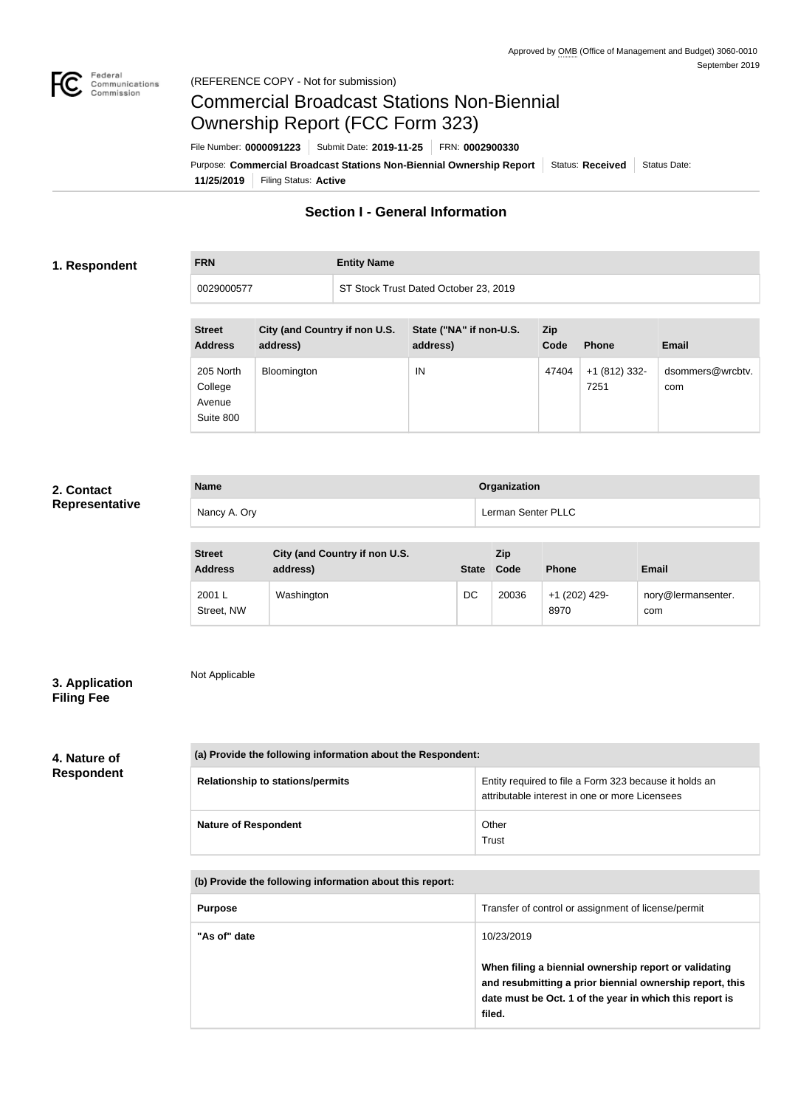

## Commercial Broadcast Stations Non-Biennial Ownership Report (FCC Form 323)

**11/25/2019** Filing Status: **Active** Purpose: Commercial Broadcast Stations Non-Biennial Ownership Report Status: Received Status Date: File Number: **0000091223** Submit Date: **2019-11-25** FRN: **0002900330**

#### **Section I - General Information**

#### **1. Respondent**

**FRN Entity Name**

| 0029000577                                  |                                           | ST Stock Trust Dated October 23, 2019 |                                     |                    |                       |                         |
|---------------------------------------------|-------------------------------------------|---------------------------------------|-------------------------------------|--------------------|-----------------------|-------------------------|
| <b>Street</b><br><b>Address</b>             | City (and Country if non U.S.<br>address) |                                       | State ("NA" if non-U.S.<br>address) | <b>Zip</b><br>Code | <b>Phone</b>          | <b>Email</b>            |
| 205 North<br>College<br>Avenue<br>Suite 800 | Bloomington                               |                                       | IN                                  | 47404              | +1 (812) 332-<br>7251 | dsommers@wrcbtv.<br>com |

#### **2. Contact Representative**

| <b>Name</b> |              | Organization       |  |  |
|-------------|--------------|--------------------|--|--|
|             | Nancy A. Ory | Lerman Senter PLLC |  |  |

| <b>Street</b><br><b>Address</b> | City (and Country if non U.S.<br>address) | <b>State</b> | <b>Zip</b><br>Code | <b>Phone</b>          | <b>Email</b>              |
|---------------------------------|-------------------------------------------|--------------|--------------------|-----------------------|---------------------------|
| 2001L<br>Street, NW             | Washington                                | DC           | 20036              | +1 (202) 429-<br>8970 | nory@lermansenter.<br>com |

#### **3. Application Filing Fee**

Not Applicable

# **4. Nature of**

### **Respondent**

| (a) Provide the following information about the Respondent: |                                                                                                          |  |  |
|-------------------------------------------------------------|----------------------------------------------------------------------------------------------------------|--|--|
| <b>Relationship to stations/permits</b>                     | Entity required to file a Form 323 because it holds an<br>attributable interest in one or more Licensees |  |  |
| <b>Nature of Respondent</b>                                 | Other<br>Trust                                                                                           |  |  |

**(b) Provide the following information about this report:**

| <b>Purpose</b> | Transfer of control or assignment of license/permit                                                                                                                                                  |
|----------------|------------------------------------------------------------------------------------------------------------------------------------------------------------------------------------------------------|
| "As of" date   | 10/23/2019<br>When filing a biennial ownership report or validating<br>and resubmitting a prior biennial ownership report, this<br>date must be Oct. 1 of the year in which this report is<br>filed. |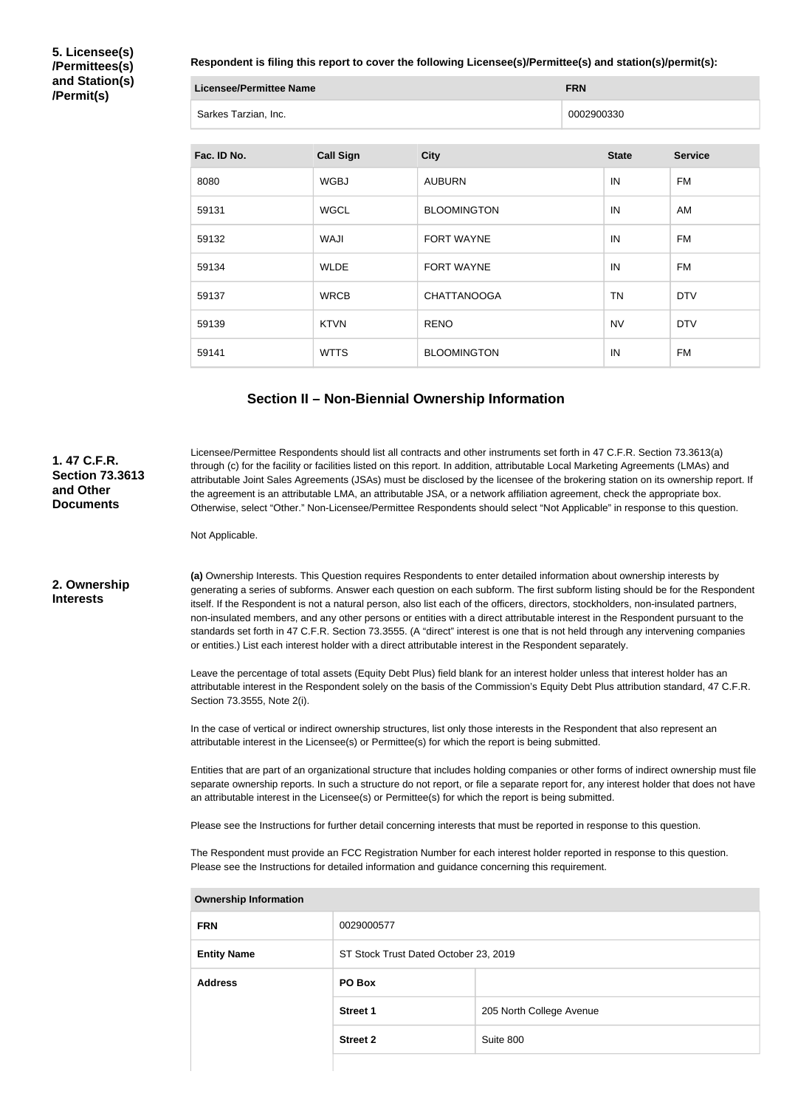**5. Licensee(s) /Permittees(s) and Station(s) /Permit(s)**

**Respondent is filing this report to cover the following Licensee(s)/Permittee(s) and station(s)/permit(s):**

| Licensee/Permittee Name |                      | <b>FRN</b> |
|-------------------------|----------------------|------------|
|                         | Sarkes Tarzian, Inc. | 0002900330 |

| Fac. ID No. | <b>Call Sign</b> | <b>City</b>        | <b>State</b> | <b>Service</b> |
|-------------|------------------|--------------------|--------------|----------------|
| 8080        | <b>WGBJ</b>      | <b>AUBURN</b>      | IN           | FM             |
| 59131       | <b>WGCL</b>      | <b>BLOOMINGTON</b> | IN           | AM             |
| 59132       | WAJI             | <b>FORT WAYNE</b>  | IN           | FM             |
| 59134       | <b>WLDE</b>      | <b>FORT WAYNE</b>  | IN           | FM             |
| 59137       | <b>WRCB</b>      | <b>CHATTANOOGA</b> | <b>TN</b>    | <b>DTV</b>     |
| 59139       | <b>KTVN</b>      | <b>RENO</b>        | <b>NV</b>    | <b>DTV</b>     |
| 59141       | <b>WTTS</b>      | <b>BLOOMINGTON</b> | IN           | <b>FM</b>      |

#### **Section II – Non-Biennial Ownership Information**

Licensee/Permittee Respondents should list all contracts and other instruments set forth in 47 C.F.R. Section 73.3613(a) through (c) for the facility or facilities listed on this report. In addition, attributable Local Marketing Agreements (LMAs) and attributable Joint Sales Agreements (JSAs) must be disclosed by the licensee of the brokering station on its ownership report. If the agreement is an attributable LMA, an attributable JSA, or a network affiliation agreement, check the appropriate box. Otherwise, select "Other." Non-Licensee/Permittee Respondents should select "Not Applicable" in response to this question.

Not Applicable.

**2. Ownership Interests**

**1. 47 C.F.R. Section 73.3613** 

**and Other Documents**

> **(a)** Ownership Interests. This Question requires Respondents to enter detailed information about ownership interests by generating a series of subforms. Answer each question on each subform. The first subform listing should be for the Respondent itself. If the Respondent is not a natural person, also list each of the officers, directors, stockholders, non-insulated partners, non-insulated members, and any other persons or entities with a direct attributable interest in the Respondent pursuant to the standards set forth in 47 C.F.R. Section 73.3555. (A "direct" interest is one that is not held through any intervening companies or entities.) List each interest holder with a direct attributable interest in the Respondent separately.

> Leave the percentage of total assets (Equity Debt Plus) field blank for an interest holder unless that interest holder has an attributable interest in the Respondent solely on the basis of the Commission's Equity Debt Plus attribution standard, 47 C.F.R. Section 73.3555, Note 2(i).

In the case of vertical or indirect ownership structures, list only those interests in the Respondent that also represent an attributable interest in the Licensee(s) or Permittee(s) for which the report is being submitted.

Entities that are part of an organizational structure that includes holding companies or other forms of indirect ownership must file separate ownership reports. In such a structure do not report, or file a separate report for, any interest holder that does not have an attributable interest in the Licensee(s) or Permittee(s) for which the report is being submitted.

Please see the Instructions for further detail concerning interests that must be reported in response to this question.

The Respondent must provide an FCC Registration Number for each interest holder reported in response to this question. Please see the Instructions for detailed information and guidance concerning this requirement.

| <b>Ownership Information</b> |                                       |                          |  |  |
|------------------------------|---------------------------------------|--------------------------|--|--|
| <b>FRN</b>                   | 0029000577                            |                          |  |  |
| <b>Entity Name</b>           | ST Stock Trust Dated October 23, 2019 |                          |  |  |
| <b>Address</b>               | PO Box                                |                          |  |  |
|                              | <b>Street 1</b>                       | 205 North College Avenue |  |  |
|                              | <b>Street 2</b>                       | Suite 800                |  |  |
|                              |                                       |                          |  |  |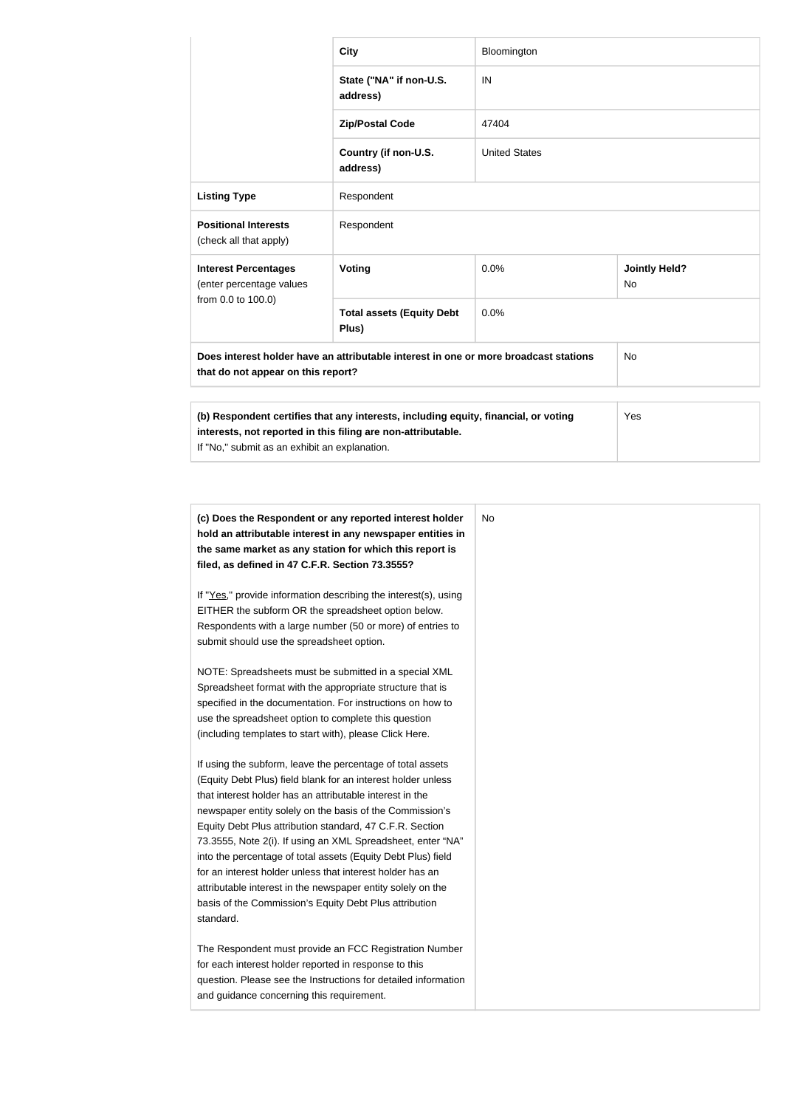|                                                                                                                                         | <b>City</b>                                                                                                                                         | Bloomington          |                                   |  |  |
|-----------------------------------------------------------------------------------------------------------------------------------------|-----------------------------------------------------------------------------------------------------------------------------------------------------|----------------------|-----------------------------------|--|--|
|                                                                                                                                         | State ("NA" if non-U.S.<br>address)                                                                                                                 | IN                   |                                   |  |  |
|                                                                                                                                         | <b>Zip/Postal Code</b>                                                                                                                              | 47404                |                                   |  |  |
|                                                                                                                                         | Country (if non-U.S.<br>address)                                                                                                                    | <b>United States</b> |                                   |  |  |
| <b>Listing Type</b>                                                                                                                     | Respondent                                                                                                                                          |                      |                                   |  |  |
| <b>Positional Interests</b><br>(check all that apply)                                                                                   | Respondent                                                                                                                                          |                      |                                   |  |  |
| <b>Interest Percentages</b><br>(enter percentage values                                                                                 | Voting                                                                                                                                              | 0.0%                 | <b>Jointly Held?</b><br><b>No</b> |  |  |
| from 0.0 to 100.0)                                                                                                                      | <b>Total assets (Equity Debt</b><br>Plus)                                                                                                           | 0.0%                 |                                   |  |  |
| Does interest holder have an attributable interest in one or more broadcast stations<br><b>No</b><br>that do not appear on this report? |                                                                                                                                                     |                      |                                   |  |  |
|                                                                                                                                         |                                                                                                                                                     |                      |                                   |  |  |
| If "No," submit as an exhibit an explanation.                                                                                           | (b) Respondent certifies that any interests, including equity, financial, or voting<br>interests, not reported in this filing are non-attributable. |                      | Yes                               |  |  |

| (c) Does the Respondent or any reported interest holder<br>hold an attributable interest in any newspaper entities in |  |
|-----------------------------------------------------------------------------------------------------------------------|--|
| the same market as any station for which this report is                                                               |  |
| filed, as defined in 47 C.F.R. Section 73.3555?                                                                       |  |
|                                                                                                                       |  |
| If "Yes," provide information describing the interest(s), using                                                       |  |
| EITHER the subform OR the spreadsheet option below.                                                                   |  |
| Respondents with a large number (50 or more) of entries to                                                            |  |
| submit should use the spreadsheet option.                                                                             |  |
|                                                                                                                       |  |
| NOTE: Spreadsheets must be submitted in a special XML                                                                 |  |
| Spreadsheet format with the appropriate structure that is                                                             |  |
| specified in the documentation. For instructions on how to<br>use the spreadsheet option to complete this question    |  |
| (including templates to start with), please Click Here.                                                               |  |
|                                                                                                                       |  |
| If using the subform, leave the percentage of total assets                                                            |  |
| (Equity Debt Plus) field blank for an interest holder unless                                                          |  |
| that interest holder has an attributable interest in the                                                              |  |
| newspaper entity solely on the basis of the Commission's                                                              |  |
| Equity Debt Plus attribution standard, 47 C.F.R. Section                                                              |  |
| 73.3555, Note 2(i). If using an XML Spreadsheet, enter "NA"                                                           |  |
| into the percentage of total assets (Equity Debt Plus) field                                                          |  |
| for an interest holder unless that interest holder has an                                                             |  |
| attributable interest in the newspaper entity solely on the                                                           |  |
| basis of the Commission's Equity Debt Plus attribution                                                                |  |
| standard.                                                                                                             |  |
| The Respondent must provide an FCC Registration Number                                                                |  |
| for each interest holder reported in response to this                                                                 |  |
| question. Please see the Instructions for detailed information                                                        |  |
| and guidance concerning this requirement.                                                                             |  |